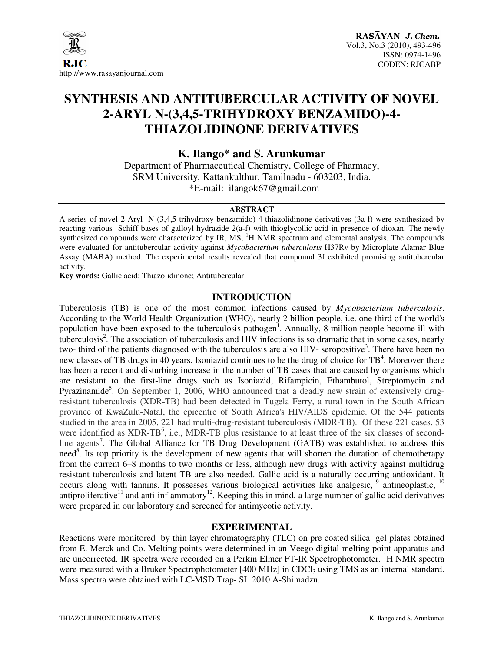

# **SYNTHESIS AND ANTITUBERCULAR ACTIVITY OF NOVEL 2-ARYL N-(3,4,5-TRIHYDROXY BENZAMIDO)-4- THIAZOLIDINONE DERIVATIVES**

**K. Ilango\* and S. Arunkumar** 

Department of Pharmaceutical Chemistry, College of Pharmacy, SRM University, Kattankulthur, Tamilnadu - 603203, India. \*E-mail: ilangok67@gmail.com

#### **ABSTRACT**

A series of novel 2-Aryl -N-(3,4,5-trihydroxy benzamido)-4-thiazolidinone derivatives (3a-f) were synthesized by reacting various Schiff bases of galloyl hydrazide 2(a-f) with thioglycollic acid in presence of dioxan. The newly synthesized compounds were characterized by IR, MS,  ${}^{1}H$  NMR spectrum and elemental analysis. The compounds were evaluated for antitubercular activity against *Mycobacterium tuberculosis* H37Rv by Microplate Alamar Blue Assay (MABA) method. The experimental results revealed that compound 3f exhibited promising antitubercular activity.

**Key words:** Gallic acid; Thiazolidinone; Antitubercular.

### **INTRODUCTION**

Tuberculosis (TB) is one of the most common infections caused by *Mycobacterium tuberculosis*. According to the World Health Organization (WHO), nearly 2 billion people, i.e. one third of the world's population have been exposed to the tuberculosis pathogen<sup>1</sup>. Annually,  $\delta$  million people become ill with tuberculosis<sup>2</sup>. The association of tuberculosis and HIV infections is so dramatic that in some cases, nearly two- third of the patients diagnosed with the tuberculosis are also HIV- seropositive<sup>3</sup>. There have been no new classes of TB drugs in 40 years. Isoniazid continues to be the drug of choice for  $TB<sup>4</sup>$ . Moreover there has been a recent and disturbing increase in the number of TB cases that are caused by organisms which are resistant to the first-line drugs such as Isoniazid, Rifampicin, Ethambutol, Streptomycin and Pyrazinamide<sup>5</sup>. On September 1, 2006, WHO announced that a deadly new strain of extensively drugresistant tuberculosis (XDR-TB) had been detected in Tugela Ferry, a rural town in the South African province of KwaZulu-Natal, the epicentre of South Africa's HIV/AIDS epidemic. Of the 544 patients studied in the area in 2005, 221 had multi-drug-resistant tuberculosis (MDR-TB). Of these 221 cases, 53 were identified as XDR-TB<sup>6</sup>, i.e., MDR-TB plus resistance to at least three of the six classes of secondline agents<sup>7</sup>. The Global Alliance for TB Drug Development (GATB) was established to address this need<sup>8</sup>. Its top priority is the development of new agents that will shorten the duration of chemotherapy from the current 6–8 months to two months or less, although new drugs with activity against multidrug resistant tuberculosis and latent TB are also needed. Gallic acid is a naturally occurring antioxidant. It occurs along with tannins. It possesses various biological activities like analgesic,  $9$  antineoplastic,  $10$ antiproliferative<sup>11</sup> and anti-inflammatory<sup>12</sup>. Keeping this in mind, a large number of gallic acid derivatives were prepared in our laboratory and screened for antimycotic activity.

#### **EXPERIMENTAL**

Reactions were monitored by thin layer chromatography (TLC) on pre coated silica gel plates obtained from E. Merck and Co. Melting points were determined in an Veego digital melting point apparatus and are uncorrected. IR spectra were recorded on a Perkin Elmer FT-IR Spectrophotometer. <sup>1</sup>H NMR spectra were measured with a Bruker Spectrophotometer [400 MHz] in CDCl<sub>3</sub> using TMS as an internal standard. Mass spectra were obtained with LC-MSD Trap- SL 2010 A-Shimadzu.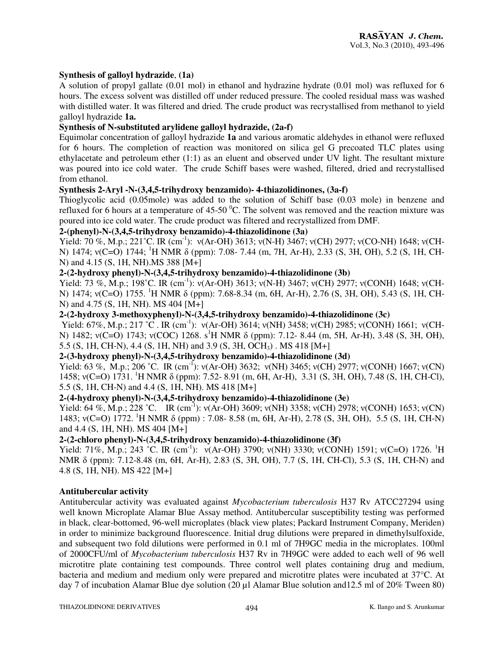#### **Synthesis of galloyl hydrazide**, **(1a)**

A solution of propyl gallate (0.01 mol) in ethanol and hydrazine hydrate (0.01 mol) was refluxed for 6 hours. The excess solvent was distilled off under reduced pressure. The cooled residual mass was washed with distilled water. It was filtered and dried. The crude product was recrystallised from methanol to yield galloyl hydrazide **1a.** 

## **Synthesis of N-substituted arylidene galloyl hydrazide, (2a-f)**

Equimolar concentration of galloyl hydrazide **1a** and various aromatic aldehydes in ethanol were refluxed for 6 hours. The completion of reaction was monitored on silica gel G precoated TLC plates using ethylacetate and petroleum ether (1:1) as an eluent and observed under UV light. The resultant mixture was poured into ice cold water. The crude Schiff bases were washed, filtered, dried and recrystallised from ethanol.

#### **Synthesis 2-Aryl -N-(3,4,5-trihydroxy benzamido)- 4-thiazolidinones, (3a-f)**

Thioglycolic acid (0.05mole) was added to the solution of Schiff base (0.03 mole) in benzene and refluxed for 6 hours at a temperature of  $45\text{-}50\text{ °C}$ . The solvent was removed and the reaction mixture was poured into ice cold water. The crude product was filtered and recrystallized from DMF.

## **2-(phenyl)-N-(3,4,5-trihydroxy benzamido)-4-thiazolidinone (3a)**

Yield: 70 %, M.p.; 221°C. IR (cm<sup>-1</sup>):  $v(Ar-OH)$  3613;  $v(N-H)$  3467;  $v(CH)$  2977;  $v(CO-NH)$  1648;  $v(CH-H)$ N) 1474; ν(C=O) 1744; <sup>1</sup>H NMR δ (ppm): 7.08- 7.44 (m, 7H, Ar-H), 2.33 (S, 3H, OH), 5.2 (S, 1H, CH-N) and 4.15 (S, 1H, NH).MS 388 [M+]

## **2-(2-hydroxy phenyl)-N-(3,4,5-trihydroxy benzamido)-4-thiazolidinone (3b)**

Yield: 73 %, M.p.; 198°C. IR (cm<sup>-1</sup>): ν(Ar-OH) 3613; ν(N-H) 3467; ν(CH) 2977; ν(CONH) 1648; ν(CH-N) 1474; ν(C=O) 1755. <sup>1</sup>H NMR δ (ppm): 7.68-8.34 (m, 6H, Ar-H), 2.76 (S, 3H, OH), 5.43 (S, 1H, CH-N) and 4.75 (S, 1H, NH). MS 404 [M+]

#### **2-(2-hydroxy 3-methoxyphenyl)-N-(3,4,5-trihydroxy benzamido)-4-thiazolidinone (3c)**

Yield: 67%, M.p.; 217 °C. IR (cm<sup>-1</sup>): ν(Ar-OH) 3614; ν(NH) 3458; ν(CH) 2985; ν(CONH) 1661; ν(CH-N) 1482; ν(C=O) 1743; ν(COC) 1268. s<sup>1</sup>H NMR δ (ppm): 7.12- 8.44 (m, 5H, Ar-H), 3.48 (S, 3H, OH), 5.5 (S, 1H, CH-N), 4.4 (S, 1H, NH) and 3.9 (S, 3H, OCH3) . MS 418 [M+]

## **2-(3-hydroxy phenyl)-N-(3,4,5-trihydroxy benzamido)-4-thiazolidinone (3d)**

Yield: 63 %, M.p.; 206 °C. IR (cm<sup>-1</sup>):  $v(Ar-OH)$  3632;  $v(NH)$  3465;  $v(CH)$  2977;  $v(CONH)$  1667;  $v(CN)$ 1458; ν(C=O) 1731. <sup>1</sup>H NMR δ (ppm): 7.52- 8.91 (m, 6H, Ar-H), 3.31 (S, 3H, OH), 7.48 (S, 1H, CH-Cl), 5.5 (S, 1H, CH-N) and 4.4 (S, 1H, NH). MS 418 [M+]

# **2-(4-hydroxy phenyl)-N-(3,4,5-trihydroxy benzamido)-4-thiazolidinone (3e)**

Yield: 64 %, M.p.; 228 °C. IR (cm<sup>-1</sup>): ν(Ar-OH) 3609; ν(NH) 3358; ν(CH) 2978; ν(CONH) 1653; ν(CN) 1483; ν(C=O) 1772. <sup>1</sup>H NMR δ (ppm) : 7.08- 8.58 (m, 6H, Ar-H), 2.78 (S, 3H, OH), 5.5 (S, 1H, CH-N) and 4.4 (S, 1H, NH). MS 404 [M+]

## **2-(2-chloro phenyl)-N-(3,4,5-trihydroxy benzamido)-4-thiazolidinone (3f)**

Yield: 71%, M.p.; 243 °C. IR (cm<sup>-1</sup>):  $v(Ar-OH)$  3790;  $v(NH)$  3330;  $v(CONH)$  1591;  $v(C=O)$  1726. <sup>1</sup>H NMR δ (ppm): 7.12-8.48 (m, 6H, Ar-H), 2.83 (S, 3H, OH), 7.7 (S, 1H, CH-Cl), 5.3 (S, 1H, CH-N) and 4.8 (S, 1H, NH). MS 422 [M+]

#### **Antitubercular activity**

Antitubercular activity was evaluated against *Mycobacterium tuberculosis* H37 Rv ATCC27294 using well known Microplate Alamar Blue Assay method. Antitubercular susceptibility testing was performed in black, clear-bottomed, 96-well microplates (black view plates; Packard Instrument Company, Meriden) in order to minimize background fluorescence. Initial drug dilutions were prepared in dimethylsulfoxide, and subsequent two fold dilutions were performed in 0.1 ml of 7H9GC media in the microplates. 100ml of 2000CFU/ml of *Mycobacterium tuberculosis* H37 Rv in 7H9GC were added to each well of 96 well microtitre plate containing test compounds. Three control well plates containing drug and medium, bacteria and medium and medium only were prepared and microtitre plates were incubated at 37°C. At day 7 of incubation Alamar Blue dye solution (20 µl Alamar Blue solution and 12.5 ml of 20% Tween 80)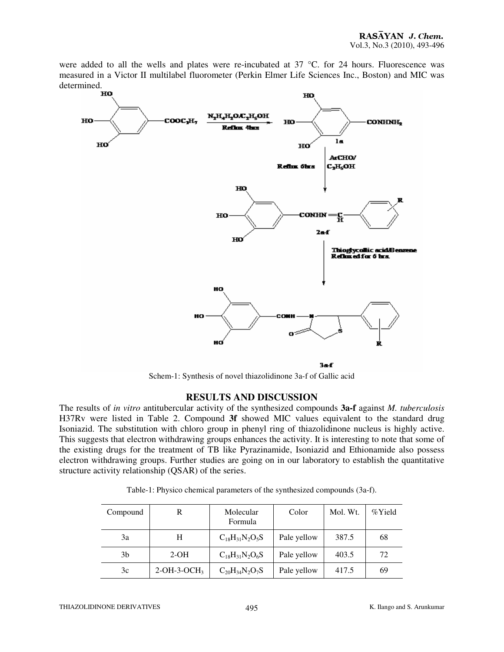were added to all the wells and plates were re-incubated at 37 °C. for 24 hours. Fluorescence was measured in a Victor II multilabel fluorometer (Perkin Elmer Life Sciences Inc., Boston) and MIC was determined.<br>**HO** 



Schem-1: Synthesis of novel thiazolidinone 3a-f of Gallic acid

# **RESULTS AND DISCUSSION**

The results of *in vitro* antitubercular activity of the synthesized compounds **3a-f** against *M. tuberculosis*  H37Rv were listed in Table 2. Compound **3f** showed MIC values equivalent to the standard drug Isoniazid. The substitution with chloro group in phenyl ring of thiazolidinone nucleus is highly active. This suggests that electron withdrawing groups enhances the activity. It is interesting to note that some of the existing drugs for the treatment of TB like Pyrazinamide, Isoniazid and Ethionamide also possess electron withdrawing groups. Further studies are going on in our laboratory to establish the quantitative structure activity relationship (QSAR) of the series.

| Compound | R             | Molecular<br>Formula  | Color       | Mol. Wt. | %Yield |
|----------|---------------|-----------------------|-------------|----------|--------|
| 3a       | H             | $C_{18}H_{31}N_2O_5S$ | Pale yellow | 387.5    | 68     |
| 3b       | $2-OH$        | $C_{18}H_{31}N_2O_6S$ | Pale yellow | 403.5    | 72     |
| 3c       | $2-OH-3-OCH3$ | $C_{20}H_{34}N_2O_7S$ | Pale yellow | 417.5    | 69     |

Table-1: Physico chemical parameters of the synthesized compounds (3a-f).